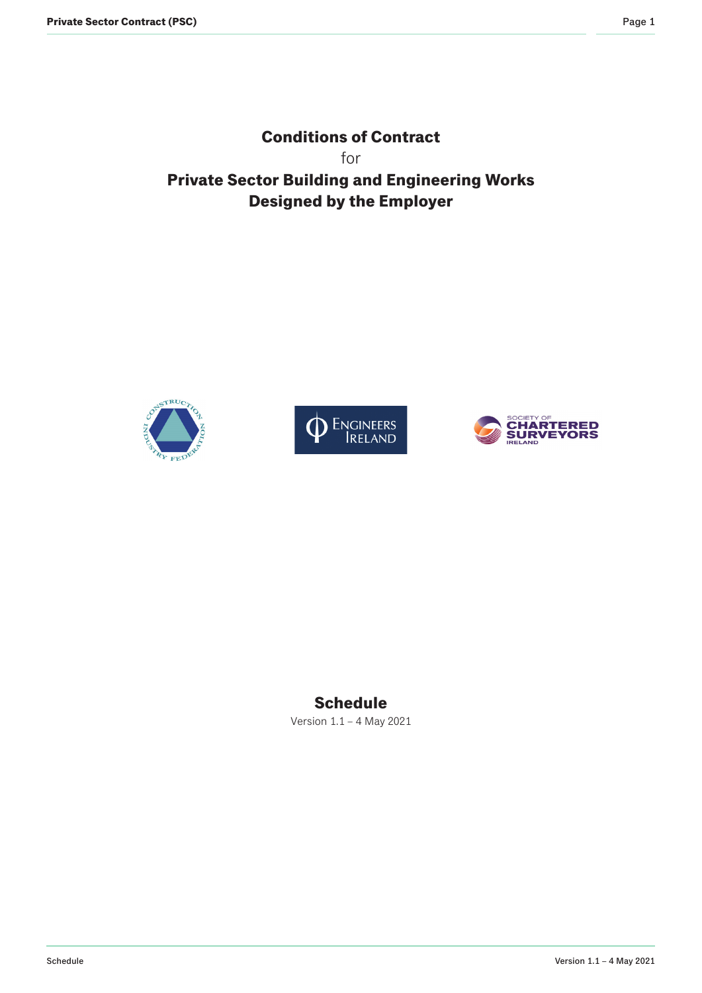**Conditions of Contract** for **Private Sector Building and Engineering Works Designed by the Employer**







# **Schedule**

Version 1.1 – 4 May 2021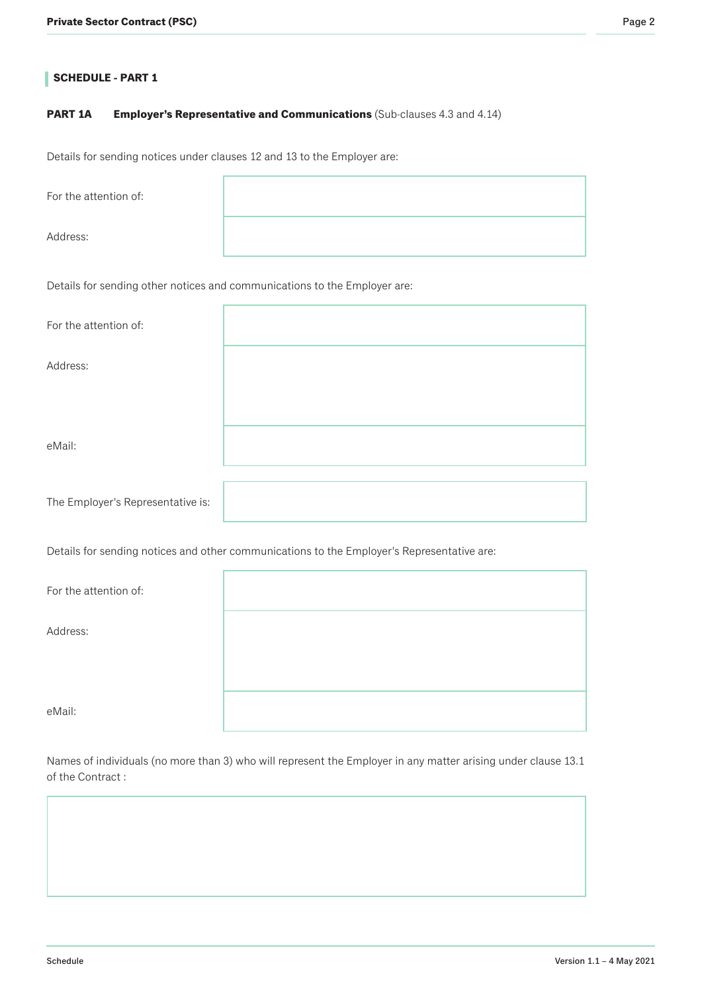# **PART 1A Employer's Representative and Communications** (Sub-clauses 4.3 and 4.14)

Details for sending notices under clauses 12 and 13 to the Employer are:

| For the attention of: |                                                                           |
|-----------------------|---------------------------------------------------------------------------|
| Address:              |                                                                           |
|                       | Details for sending other notices and communications to the Employer are: |
| For the attention of: |                                                                           |
|                       |                                                                           |

Address:

eMail:

The Employer's Representative is:

Details for sending notices and other communications to the Employer's Representative are:

| For the attention of: |  |
|-----------------------|--|
| Address:              |  |
|                       |  |
| eMail:                |  |

Names of individuals (no more than 3) who will represent the Employer in any matter arising under clause 13.1 of the Contract :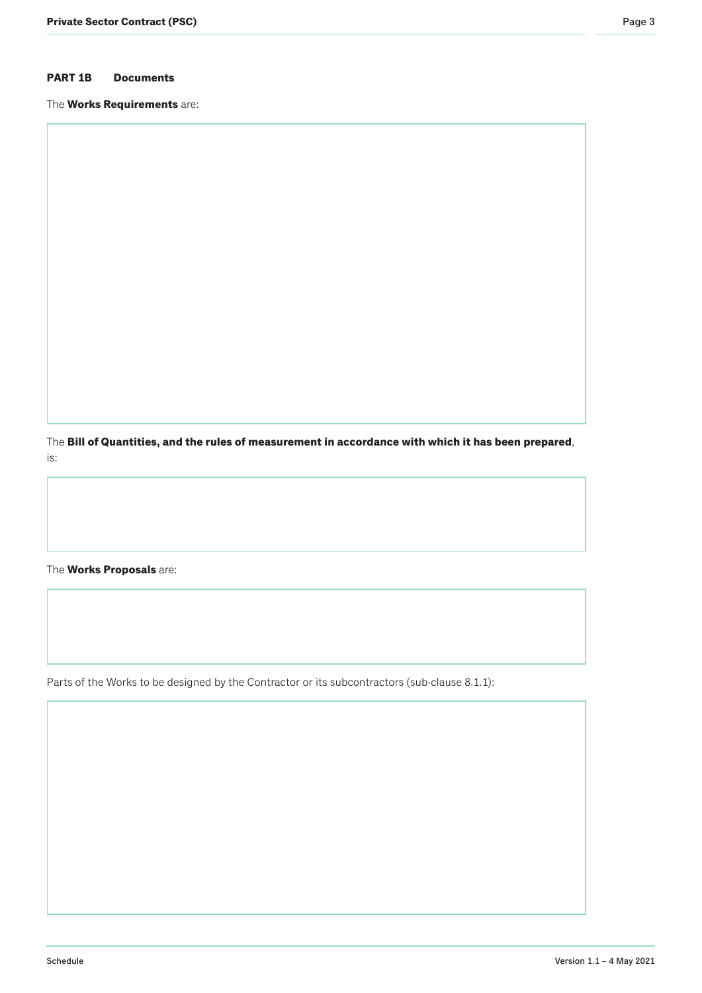# **PART 1B Documents**

The **Works Requirements** are:

The **Bill of Quantities, and the rules of measurement in accordance with which it has been prepared**, is:

The **Works Proposals** are:

Parts of the Works to be designed by the Contractor or its subcontractors (sub-clause 8.1.1):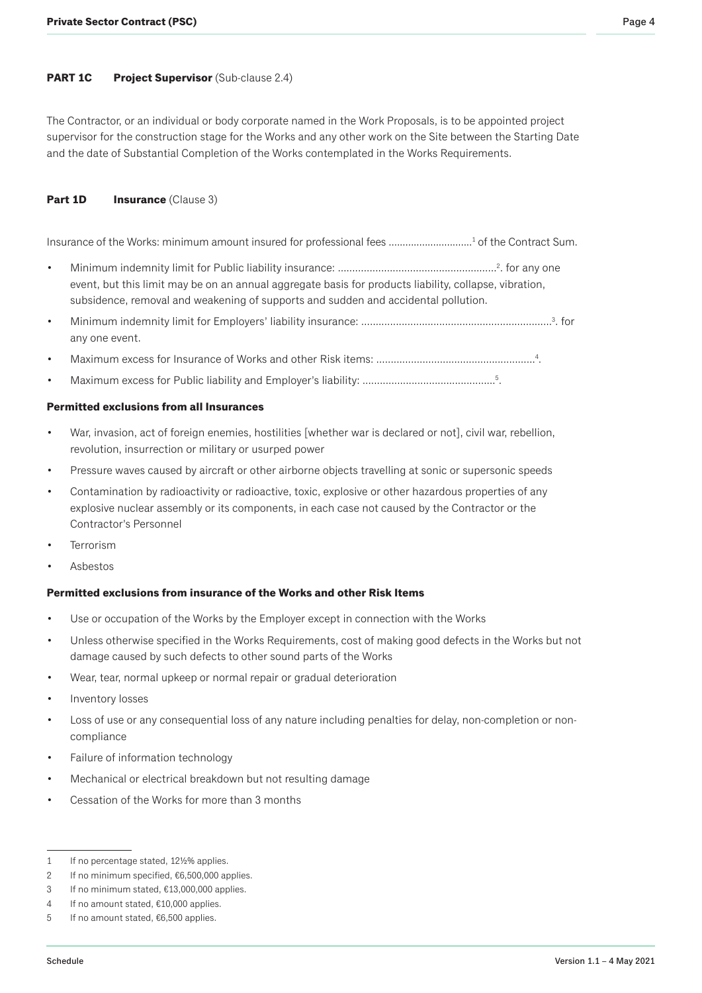#### **PART 1C** Project Supervisor (Sub-clause 2.4)

The Contractor, or an individual or body corporate named in the Work Proposals, is to be appointed project supervisor for the construction stage for the Works and any other work on the Site between the Starting Date and the date of Substantial Completion of the Works contemplated in the Works Requirements.

#### **Part 1D Insurance** (Clause 3)

Insurance of the Works: minimum amount insured for professional fees ..............................<sup>1</sup> of the Contract Sum.

- Minimum indemnity limit for Public liability insurance: ……………………………………………………2. for any one event, but this limit may be on an annual aggregate basis for products liability, collapse, vibration, subsidence, removal and weakening of supports and sudden and accidental pollution.
- Minimum indemnity limit for Employers' liability insurance: …….........................................................…3 . for any one event.
- Maximum excess for Insurance of Works and other Risk items: ………………………………………………4.
- Maximum excess for Public liability and Employer's liability: ........................................……5 .

#### **Permitted exclusions from all Insurances**

- War, invasion, act of foreign enemies, hostilities [whether war is declared or not], civil war, rebellion, revolution, insurrection or military or usurped power
- Pressure waves caused by aircraft or other airborne objects travelling at sonic or supersonic speeds
- Contamination by radioactivity or radioactive, toxic, explosive or other hazardous properties of any explosive nuclear assembly or its components, in each case not caused by the Contractor or the Contractor's Personnel
- **Terrorism**
- Asbestos

#### **Permitted exclusions from insurance of the Works and other Risk Items**

- Use or occupation of the Works by the Employer except in connection with the Works
- Unless otherwise specified in the Works Requirements, cost of making good defects in the Works but not damage caused by such defects to other sound parts of the Works
- Wear, tear, normal upkeep or normal repair or gradual deterioration
- Inventory losses
- Loss of use or any consequential loss of any nature including penalties for delay, non-completion or noncompliance
- Failure of information technology
- Mechanical or electrical breakdown but not resulting damage
- Cessation of the Works for more than 3 months

<sup>1</sup> If no percentage stated, 12½% applies.

<sup>2</sup> If no minimum specified, €6,500,000 applies.

<sup>3</sup> If no minimum stated, €13,000,000 applies.

<sup>4</sup> If no amount stated, €10,000 applies.

<sup>5</sup> If no amount stated, €6,500 applies.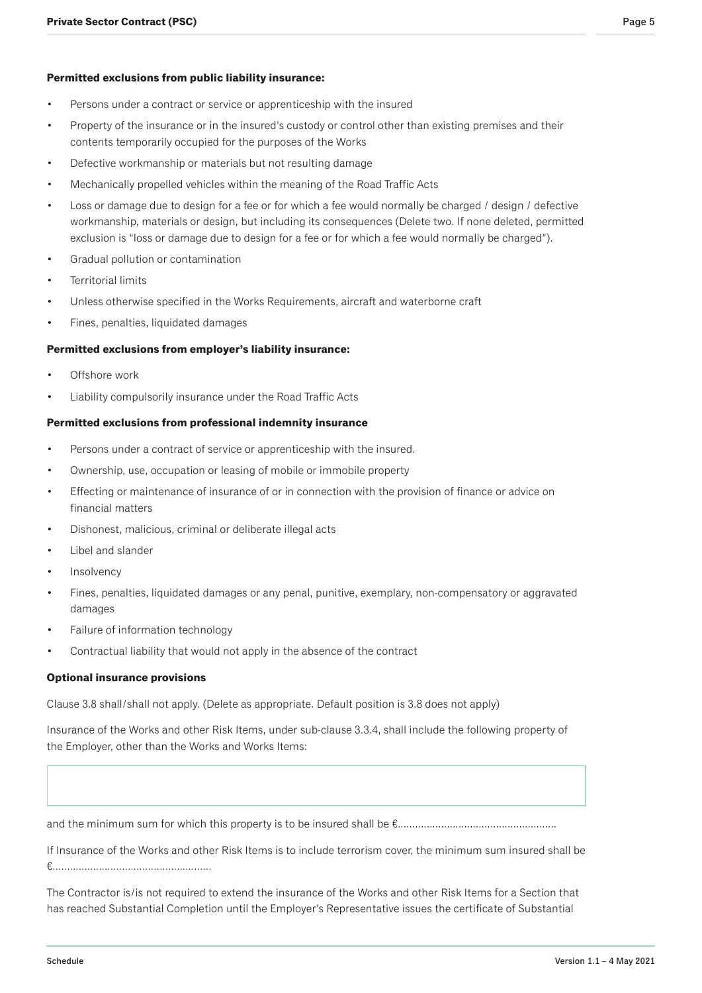- Persons under a contract or service or apprenticeship with the insured
- Property of the insurance or in the insured's custody or control other than existing premises and their contents temporarily occupied for the purposes of the Works
- Defective workmanship or materials but not resulting damage
- Mechanically propelled vehicles within the meaning of the Road Traffic Acts
- Loss or damage due to design for a fee or for which a fee would normally be charged / design / defective workmanship, materials or design, but including its consequences (Delete two. If none deleted, permitted exclusion is "loss or damage due to design for a fee or for which a fee would normally be charged").
- Gradual pollution or contamination
- Territorial limits
- Unless otherwise specified in the Works Requirements, aircraft and waterborne craft
- Fines, penalties, liquidated damages

#### **Permitted exclusions from employer's liability insurance:**

- Offshore work
- Liability compulsorily insurance under the Road Traffic Acts

#### **Permitted exclusions from professional indemnity insurance**

- Persons under a contract of service or apprenticeship with the insured.
- Ownership, use, occupation or leasing of mobile or immobile property
- Effecting or maintenance of insurance of or in connection with the provision of finance or advice on financial matters
- Dishonest, malicious, criminal or deliberate illegal acts
- Libel and slander
- **Insolvency**
- Fines, penalties, liquidated damages or any penal, punitive, exemplary, non-compensatory or aggravated damages
- Failure of information technology
- Contractual liability that would not apply in the absence of the contract

#### **Optional insurance provisions**

Clause 3.8 shall/shall not apply. (Delete as appropriate. Default position is 3.8 does not apply)

Insurance of the Works and other Risk Items, under sub-clause 3.3.4, shall include the following property of the Employer, other than the Works and Works Items:

and the minimum sum for which this property is to be insured shall be €.......................................................

If Insurance of the Works and other Risk Items is to include terrorism cover, the minimum sum insured shall be €.......................................................

The Contractor is/is not required to extend the insurance of the Works and other Risk Items for a Section that has reached Substantial Completion until the Employer's Representative issues the certificate of Substantial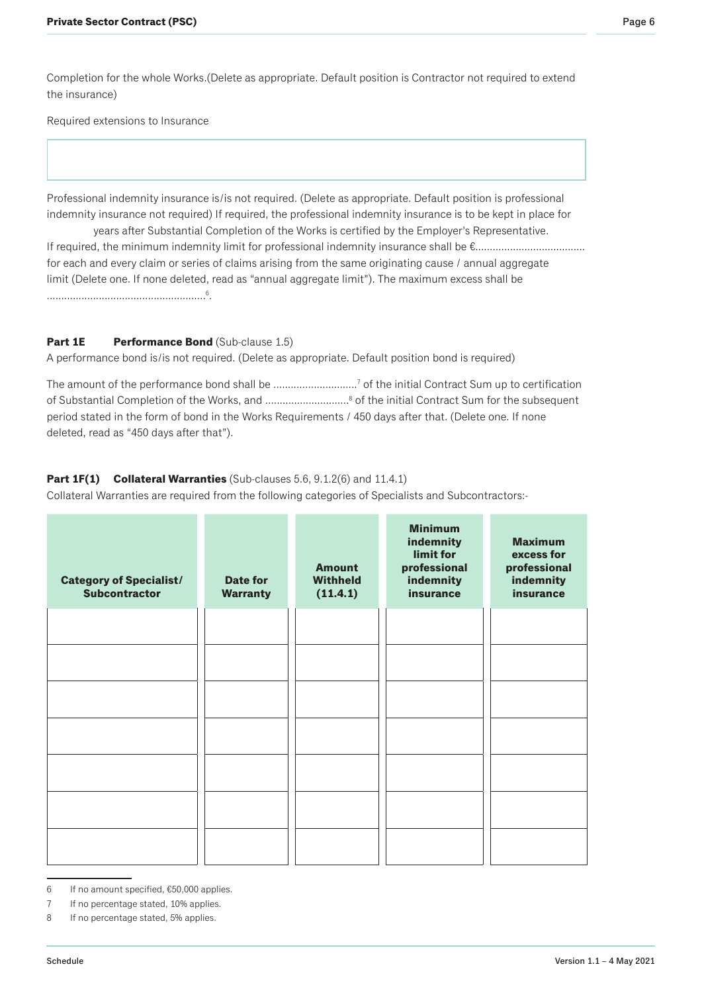Completion for the whole Works.(Delete as appropriate. Default position is Contractor not required to extend the insurance)

Required extensions to Insurance

Professional indemnity insurance is/is not required. (Delete as appropriate. Default position is professional indemnity insurance not required) If required, the professional indemnity insurance is to be kept in place for

years after Substantial Completion of the Works is certified by the Employer's Representative. If required, the minimum indemnity limit for professional indemnity insurance shall be €...................................... for each and every claim or series of claims arising from the same originating cause / annual aggregate limit (Delete one. If none deleted, read as "annual aggregate limit"). The maximum excess shall be .......................................................<sup>6</sup> .

# **Part 1E Performance Bond** (Sub-clause 1.5)

A performance bond is/is not required. (Delete as appropriate. Default position bond is required)

The amount of the performance bond shall be ..................………..7 of the initial Contract Sum up to certification of Substantial Completion of the Works, and .....................……..8 of the initial Contract Sum for the subsequent period stated in the form of bond in the Works Requirements / 450 days after that. (Delete one. If none deleted, read as "450 days after that").

# **Part 1F(1) Collateral Warranties** (Sub-clauses 5.6, 9.1.2(6) and 11.4.1)

Collateral Warranties are required from the following categories of Specialists and Subcontractors:-

| <b>Category of Specialist/</b><br><b>Subcontractor</b> | <b>Date for</b><br><b>Warranty</b> | <b>Amount</b><br><b>Withheld</b><br>(11.4.1) | <b>Minimum</b><br>indemnity<br>limit for<br>professional<br>indemnity<br><b>insurance</b> | <b>Maximum</b><br>excess for<br>professional<br>indemnity<br><b>insurance</b> |
|--------------------------------------------------------|------------------------------------|----------------------------------------------|-------------------------------------------------------------------------------------------|-------------------------------------------------------------------------------|
|                                                        |                                    |                                              |                                                                                           |                                                                               |
|                                                        |                                    |                                              |                                                                                           |                                                                               |
|                                                        |                                    |                                              |                                                                                           |                                                                               |
|                                                        |                                    |                                              |                                                                                           |                                                                               |
|                                                        |                                    |                                              |                                                                                           |                                                                               |
|                                                        |                                    |                                              |                                                                                           |                                                                               |
|                                                        |                                    |                                              |                                                                                           |                                                                               |

- 6 If no amount specified, €50,000 applies.
- 7 If no percentage stated, 10% applies.
- 8 If no percentage stated, 5% applies.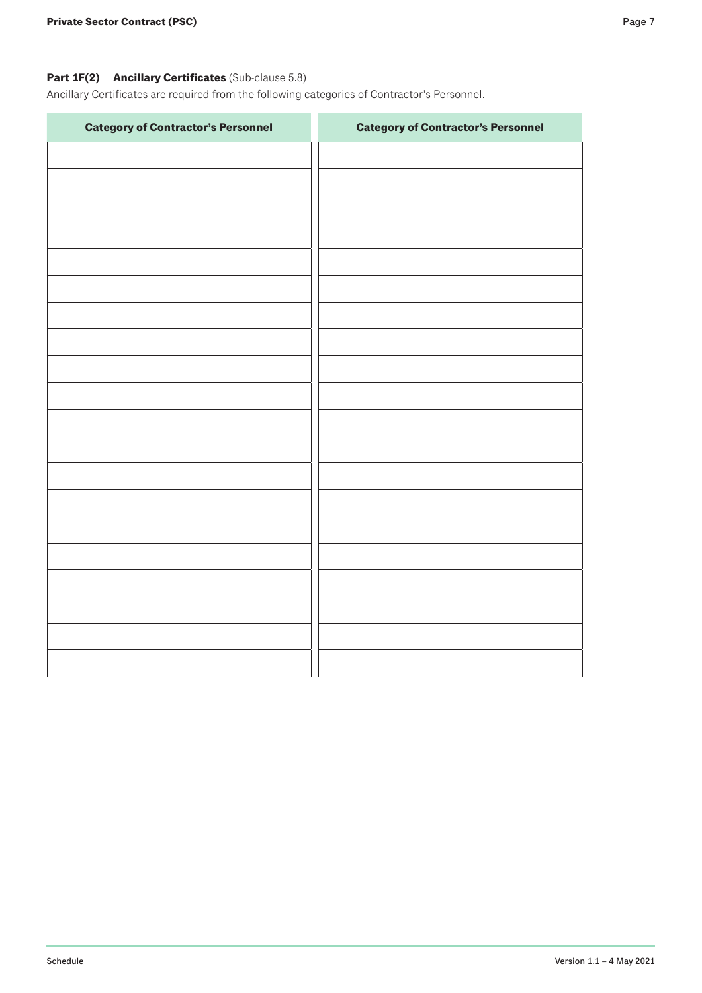# **Part 1F(2) Ancillary Certificates** (Sub-clause 5.8)

Ancillary Certificates are required from the following categories of Contractor's Personnel.

| <b>Category of Contractor's Personnel</b> | <b>Category of Contractor's Personnel</b> |
|-------------------------------------------|-------------------------------------------|
|                                           |                                           |
|                                           |                                           |
|                                           |                                           |
|                                           |                                           |
|                                           |                                           |
|                                           |                                           |
|                                           |                                           |
|                                           |                                           |
|                                           |                                           |
|                                           |                                           |
|                                           |                                           |
|                                           |                                           |
|                                           |                                           |
|                                           |                                           |
|                                           |                                           |
|                                           |                                           |
|                                           |                                           |
|                                           |                                           |
|                                           |                                           |
|                                           |                                           |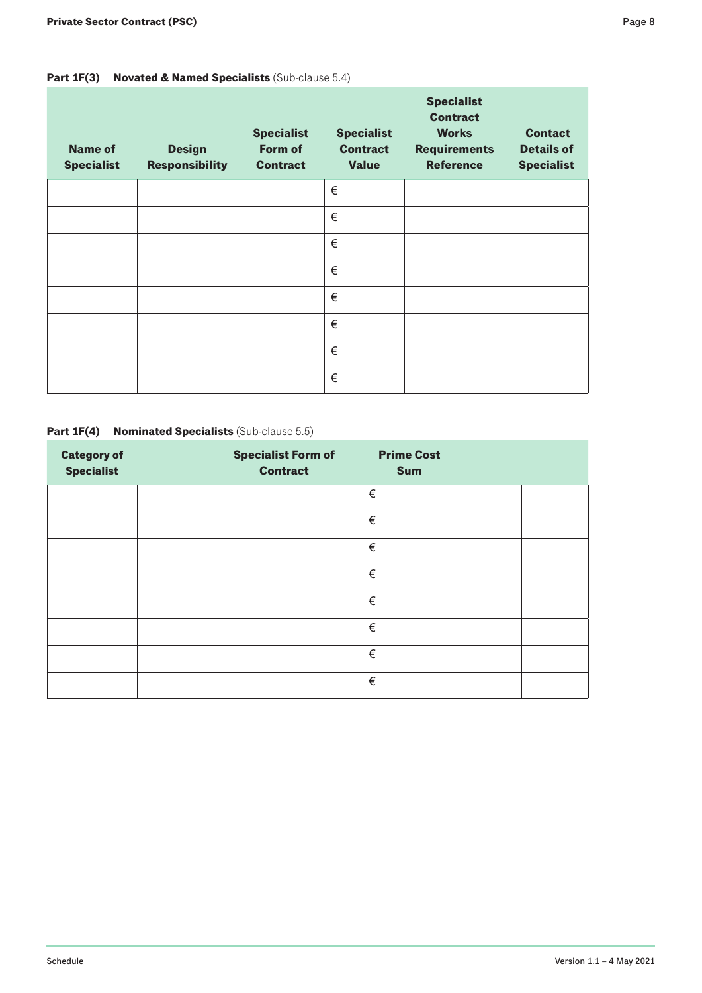# **Part 1F(3) Novated & Named Specialists** (Sub-clause 5.4)

| <b>Name of</b><br><b>Specialist</b> | <b>Design</b><br><b>Responsibility</b> | <b>Specialist</b><br>Form of<br><b>Contract</b> | <b>Specialist</b><br><b>Contract</b><br><b>Value</b> | <b>Specialist</b><br><b>Contract</b><br><b>Works</b><br><b>Requirements</b><br><b>Reference</b> | <b>Contact</b><br><b>Details of</b><br><b>Specialist</b> |
|-------------------------------------|----------------------------------------|-------------------------------------------------|------------------------------------------------------|-------------------------------------------------------------------------------------------------|----------------------------------------------------------|
|                                     |                                        |                                                 | €                                                    |                                                                                                 |                                                          |
|                                     |                                        |                                                 | €                                                    |                                                                                                 |                                                          |
|                                     |                                        |                                                 | €                                                    |                                                                                                 |                                                          |
|                                     |                                        |                                                 | €                                                    |                                                                                                 |                                                          |
|                                     |                                        |                                                 | €                                                    |                                                                                                 |                                                          |
|                                     |                                        |                                                 | €                                                    |                                                                                                 |                                                          |
|                                     |                                        |                                                 | €                                                    |                                                                                                 |                                                          |
|                                     |                                        |                                                 | €                                                    |                                                                                                 |                                                          |

### **Part 1F(4) Nominated Specialists** (Sub-clause 5.5)

| <b>Category of</b><br><b>Specialist</b> | <b>Specialist Form of</b><br><b>Contract</b> | <b>Prime Cost</b><br><b>Sum</b> |  |
|-----------------------------------------|----------------------------------------------|---------------------------------|--|
|                                         |                                              | €                               |  |
|                                         |                                              | €                               |  |
|                                         |                                              | €                               |  |
|                                         |                                              | €                               |  |
|                                         |                                              | €                               |  |
|                                         |                                              | €                               |  |
|                                         |                                              | €                               |  |
|                                         |                                              | €                               |  |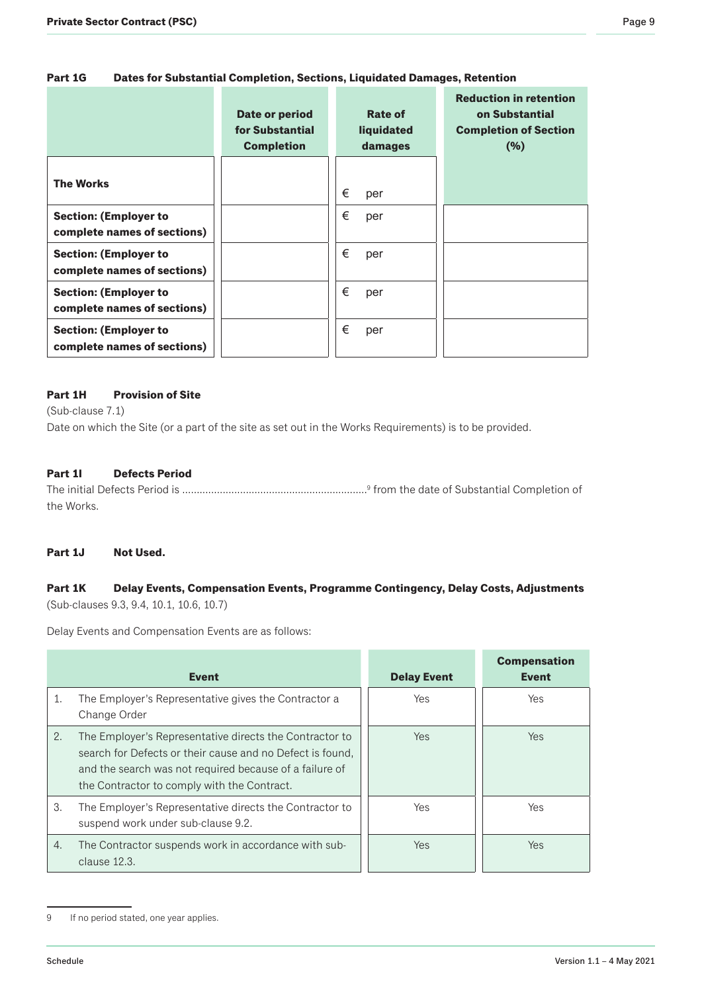|                                                             | Date or period<br>for Substantial<br><b>Completion</b> | Rate of<br><b>liquidated</b><br>damages | <b>Reduction in retention</b><br>on Substantial<br><b>Completion of Section</b><br>(%) |
|-------------------------------------------------------------|--------------------------------------------------------|-----------------------------------------|----------------------------------------------------------------------------------------|
| <b>The Works</b>                                            |                                                        | €<br>per                                |                                                                                        |
| <b>Section: (Employer to</b><br>complete names of sections) |                                                        | €<br>per                                |                                                                                        |
| <b>Section: (Employer to</b><br>complete names of sections) |                                                        | €<br>per                                |                                                                                        |
| <b>Section: (Employer to</b><br>complete names of sections) |                                                        | €<br>per                                |                                                                                        |
| <b>Section: (Employer to</b><br>complete names of sections) |                                                        | €<br>per                                |                                                                                        |

# **Part 1H Provision of Site**

(Sub-clause 7.1)

Date on which the Site (or a part of the site as set out in the Works Requirements) is to be provided.

### **Part 1I Defects Period**

The initial Defects Period is ……..................................................……..<sup>9</sup> from the date of Substantial Completion of the Works.

#### **Part 1J Not Used.**

### **Part 1K Delay Events, Compensation Events, Programme Contingency, Delay Costs, Adjustments**  (Sub-clauses 9.3, 9.4, 10.1, 10.6, 10.7)

Delay Events and Compensation Events are as follows:

|    | <b>Event</b>                                                                                                                                                                                                                   | <b>Delay Event</b> | <b>Compensation</b><br><b>Event</b> |
|----|--------------------------------------------------------------------------------------------------------------------------------------------------------------------------------------------------------------------------------|--------------------|-------------------------------------|
| 1. | The Employer's Representative gives the Contractor a<br>Change Order                                                                                                                                                           | Yes                | <b>Yes</b>                          |
| 2. | The Employer's Representative directs the Contractor to<br>search for Defects or their cause and no Defect is found,<br>and the search was not required because of a failure of<br>the Contractor to comply with the Contract. | <b>Yes</b>         | <b>Yes</b>                          |
| 3. | The Employer's Representative directs the Contractor to<br>suspend work under sub-clause 9.2.                                                                                                                                  | Yes                | Yes                                 |
| 4. | The Contractor suspends work in accordance with sub-<br>clause 12.3.                                                                                                                                                           | <b>Yes</b>         | Yes                                 |

<sup>9</sup> If no period stated, one year applies.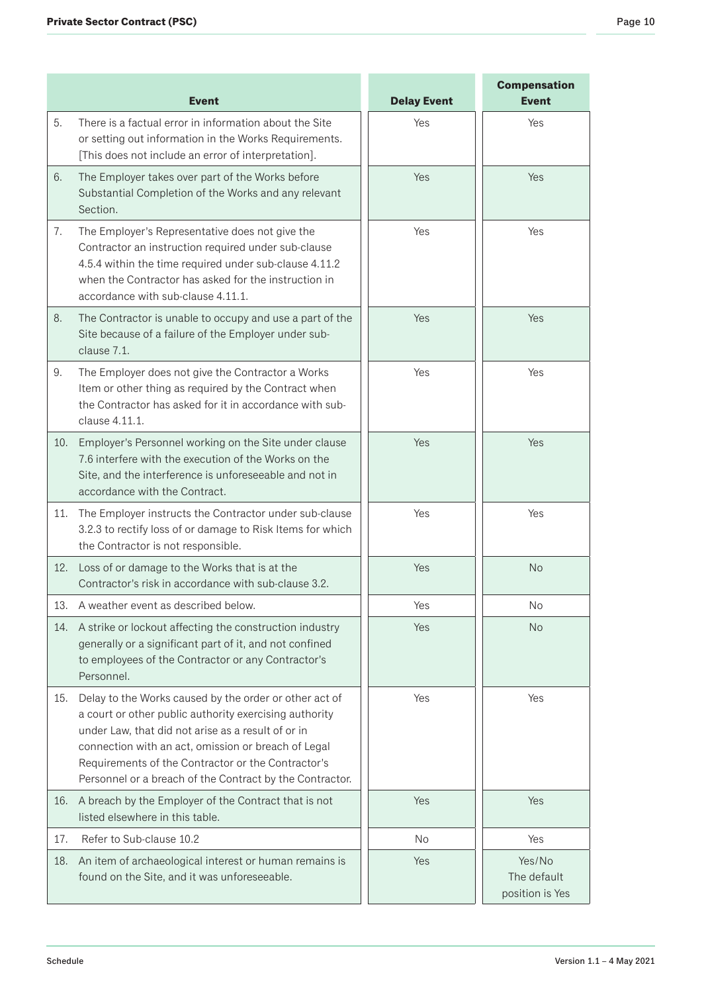|     | <b>Event</b>                                                                                                                                                                                                                                                                                                                                    | <b>Delay Event</b> | <b>Compensation</b><br><b>Event</b>      |
|-----|-------------------------------------------------------------------------------------------------------------------------------------------------------------------------------------------------------------------------------------------------------------------------------------------------------------------------------------------------|--------------------|------------------------------------------|
| 5.  | There is a factual error in information about the Site<br>or setting out information in the Works Requirements.<br>[This does not include an error of interpretation].                                                                                                                                                                          | Yes                | Yes                                      |
| 6.  | The Employer takes over part of the Works before<br>Substantial Completion of the Works and any relevant<br>Section.                                                                                                                                                                                                                            | Yes                | Yes                                      |
| 7.  | The Employer's Representative does not give the<br>Contractor an instruction required under sub-clause<br>4.5.4 within the time required under sub-clause 4.11.2<br>when the Contractor has asked for the instruction in<br>accordance with sub-clause 4.11.1.                                                                                  | Yes                | Yes                                      |
| 8.  | The Contractor is unable to occupy and use a part of the<br>Site because of a failure of the Employer under sub-<br>clause 7.1.                                                                                                                                                                                                                 | Yes                | Yes                                      |
| 9.  | The Employer does not give the Contractor a Works<br>Item or other thing as required by the Contract when<br>the Contractor has asked for it in accordance with sub-<br>clause 4.11.1.                                                                                                                                                          | Yes                | Yes                                      |
| 10. | Employer's Personnel working on the Site under clause<br>7.6 interfere with the execution of the Works on the<br>Site, and the interference is unforeseeable and not in<br>accordance with the Contract.                                                                                                                                        | Yes                | Yes                                      |
| 11. | The Employer instructs the Contractor under sub-clause<br>3.2.3 to rectify loss of or damage to Risk Items for which<br>the Contractor is not responsible.                                                                                                                                                                                      | Yes                | Yes                                      |
| 12. | Loss of or damage to the Works that is at the<br>Contractor's risk in accordance with sub-clause 3.2.                                                                                                                                                                                                                                           | Yes                | <b>No</b>                                |
| 13. | A weather event as described below.                                                                                                                                                                                                                                                                                                             | Yes                | <b>No</b>                                |
| 14. | A strike or lockout affecting the construction industry<br>generally or a significant part of it, and not confined<br>to employees of the Contractor or any Contractor's<br>Personnel.                                                                                                                                                          | Yes                | <b>No</b>                                |
| 15. | Delay to the Works caused by the order or other act of<br>a court or other public authority exercising authority<br>under Law, that did not arise as a result of or in<br>connection with an act, omission or breach of Legal<br>Requirements of the Contractor or the Contractor's<br>Personnel or a breach of the Contract by the Contractor. | Yes                | Yes                                      |
| 16. | A breach by the Employer of the Contract that is not<br>listed elsewhere in this table.                                                                                                                                                                                                                                                         | Yes                | Yes                                      |
| 17. | Refer to Sub-clause 10.2                                                                                                                                                                                                                                                                                                                        | No                 | Yes                                      |
| 18. | An item of archaeological interest or human remains is<br>found on the Site, and it was unforeseeable.                                                                                                                                                                                                                                          | Yes                | Yes/No<br>The default<br>position is Yes |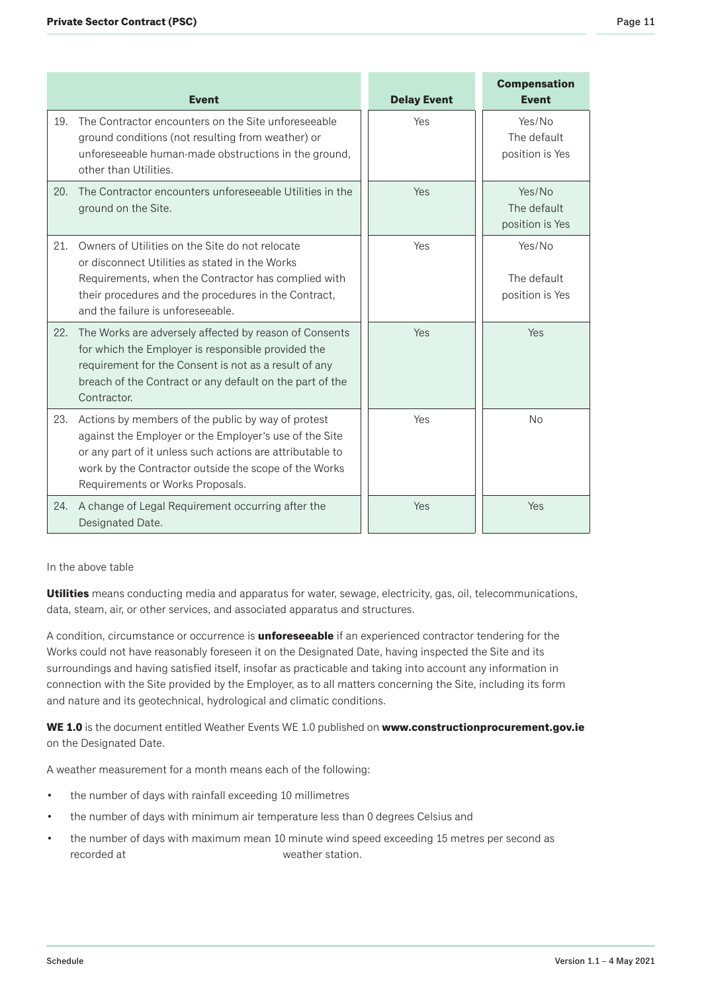|     | <b>Event</b>                                                                                                                                                                                                                                                           | <b>Delay Event</b> | <b>Compensation</b><br><b>Event</b>      |
|-----|------------------------------------------------------------------------------------------------------------------------------------------------------------------------------------------------------------------------------------------------------------------------|--------------------|------------------------------------------|
| 19. | The Contractor encounters on the Site unforeseeable<br>ground conditions (not resulting from weather) or<br>unforeseeable human-made obstructions in the ground,<br>other than Utilities.                                                                              | Yes                | Yes/No<br>The default<br>position is Yes |
| 20. | The Contractor encounters unforeseeable Utilities in the<br>ground on the Site.                                                                                                                                                                                        | Yes                | Yes/No<br>The default<br>position is Yes |
| 21. | Owners of Utilities on the Site do not relocate<br>or disconnect Utilities as stated in the Works<br>Requirements, when the Contractor has complied with<br>their procedures and the procedures in the Contract,<br>and the failure is unforeseeable.                  | Yes                | Yes/No<br>The default<br>position is Yes |
| 22. | The Works are adversely affected by reason of Consents<br>for which the Employer is responsible provided the<br>requirement for the Consent is not as a result of any<br>breach of the Contract or any default on the part of the<br>Contractor.                       | Yes                | Yes                                      |
| 23. | Actions by members of the public by way of protest<br>against the Employer or the Employer's use of the Site<br>or any part of it unless such actions are attributable to<br>work by the Contractor outside the scope of the Works<br>Requirements or Works Proposals. | Yes                | No                                       |
| 24. | A change of Legal Requirement occurring after the<br>Designated Date.                                                                                                                                                                                                  | Yes                | Yes                                      |

In the above table

**Utilities** means conducting media and apparatus for water, sewage, electricity, gas, oil, telecommunications, data, steam, air, or other services, and associated apparatus and structures.

A condition, circumstance or occurrence is **unforeseeable** if an experienced contractor tendering for the Works could not have reasonably foreseen it on the Designated Date, having inspected the Site and its surroundings and having satisfied itself, insofar as practicable and taking into account any information in connection with the Site provided by the Employer, as to all matters concerning the Site, including its form and nature and its geotechnical, hydrological and climatic conditions.

**WE 1.0** is the document entitled Weather Events WE 1.0 published on **www.constructionprocurement.gov.ie** on the Designated Date.

A weather measurement for a month means each of the following:

- the number of days with rainfall exceeding 10 millimetres
- the number of days with minimum air temperature less than 0 degrees Celsius and
- the number of days with maximum mean 10 minute wind speed exceeding 15 metres per second as recorded at weather station.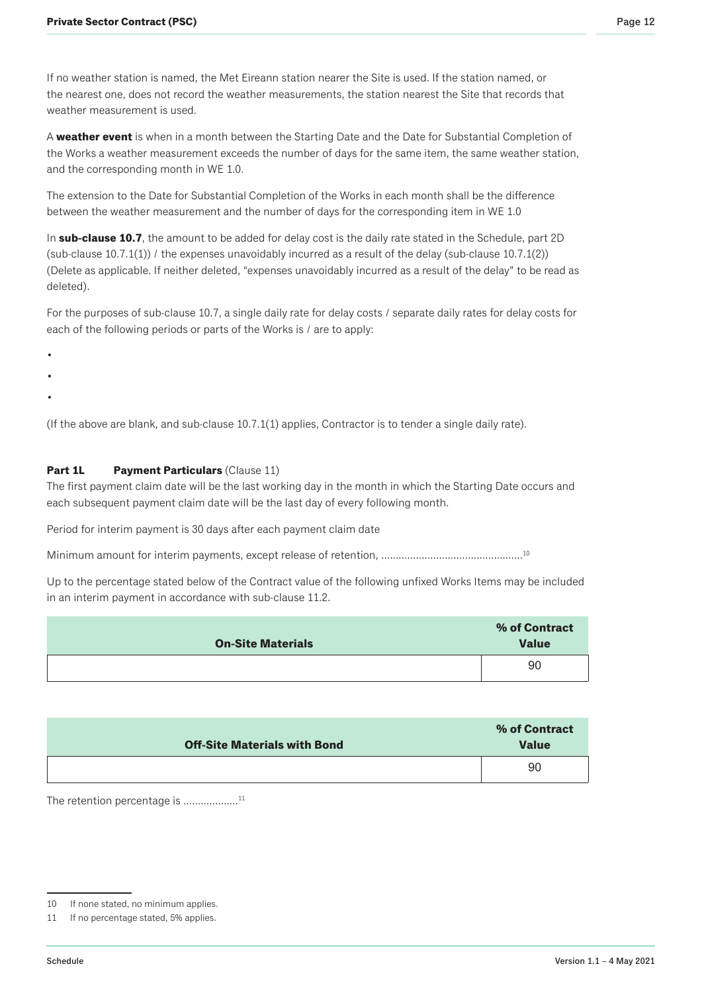If no weather station is named, the Met Eireann station nearer the Site is used. If the station named, or the nearest one, does not record the weather measurements, the station nearest the Site that records that weather measurement is used.

A **weather event** is when in a month between the Starting Date and the Date for Substantial Completion of the Works a weather measurement exceeds the number of days for the same item, the same weather station, and the corresponding month in WE 1.0.

The extension to the Date for Substantial Completion of the Works in each month shall be the difference between the weather measurement and the number of days for the corresponding item in WE 1.0

In **sub-clause 10.7**, the amount to be added for delay cost is the daily rate stated in the Schedule, part 2D (sub-clause  $10.7.1(1)$ ) / the expenses unavoidably incurred as a result of the delay (sub-clause  $10.7.1(2)$ ) (Delete as applicable. If neither deleted, "expenses unavoidably incurred as a result of the delay" to be read as deleted).

For the purposes of sub-clause 10.7, a single daily rate for delay costs / separate daily rates for delay costs for each of the following periods or parts of the Works is / are to apply:

- •
- 
- •
- •

(If the above are blank, and sub-clause 10.7.1(1) applies, Contractor is to tender a single daily rate).

### **Part 1L Payment Particulars** (Clause 11)

The first payment claim date will be the last working day in the month in which the Starting Date occurs and each subsequent payment claim date will be the last day of every following month.

Period for interim payment is 30 days after each payment claim date

Minimum amount for interim payments, except release of retention, ………………………………………<sup>10</sup>

Up to the percentage stated below of the Contract value of the following unfixed Works Items may be included in an interim payment in accordance with sub-clause 11.2.

| <b>On-Site Materials</b> | % of Contract<br><b>Value</b> |
|--------------------------|-------------------------------|
|                          | 90                            |

| <b>Off-Site Materials with Bond</b> | % of Contract<br><b>Value</b> |
|-------------------------------------|-------------------------------|
|                                     | 90                            |

The retention percentage is .................<sup>11</sup>

<sup>10</sup> If none stated, no minimum applies.

<sup>11</sup> If no percentage stated, 5% applies.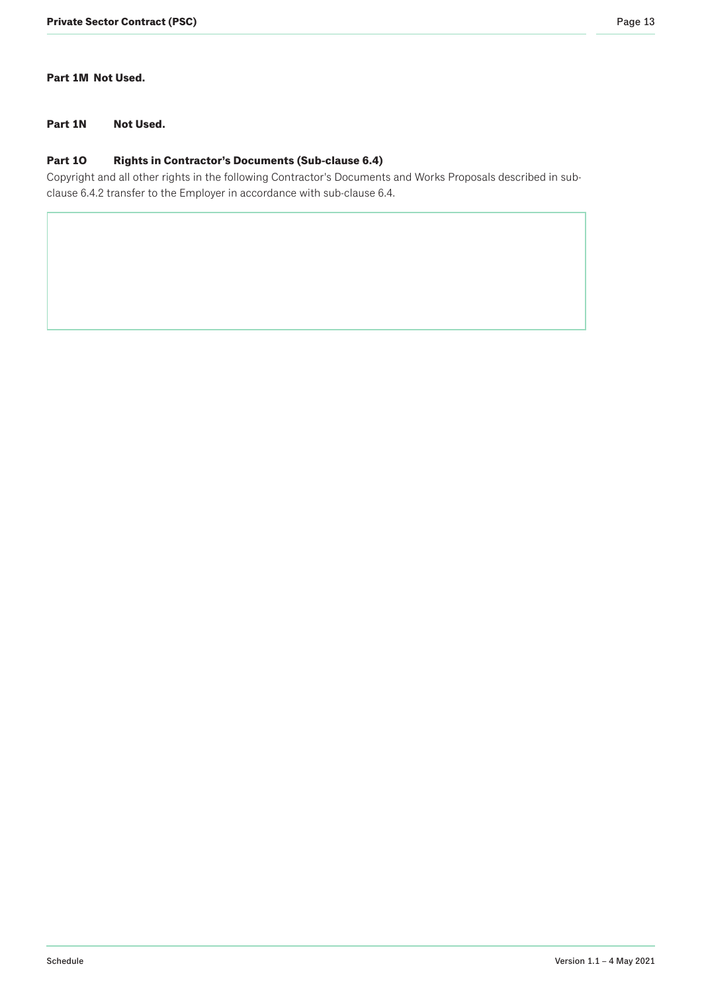# **Part 1M Not Used.**

# **Part 1N Not Used.**

### **Part 1O Rights in Contractor's Documents (Sub-clause 6.4)**

Copyright and all other rights in the following Contractor's Documents and Works Proposals described in subclause 6.4.2 transfer to the Employer in accordance with sub-clause 6.4.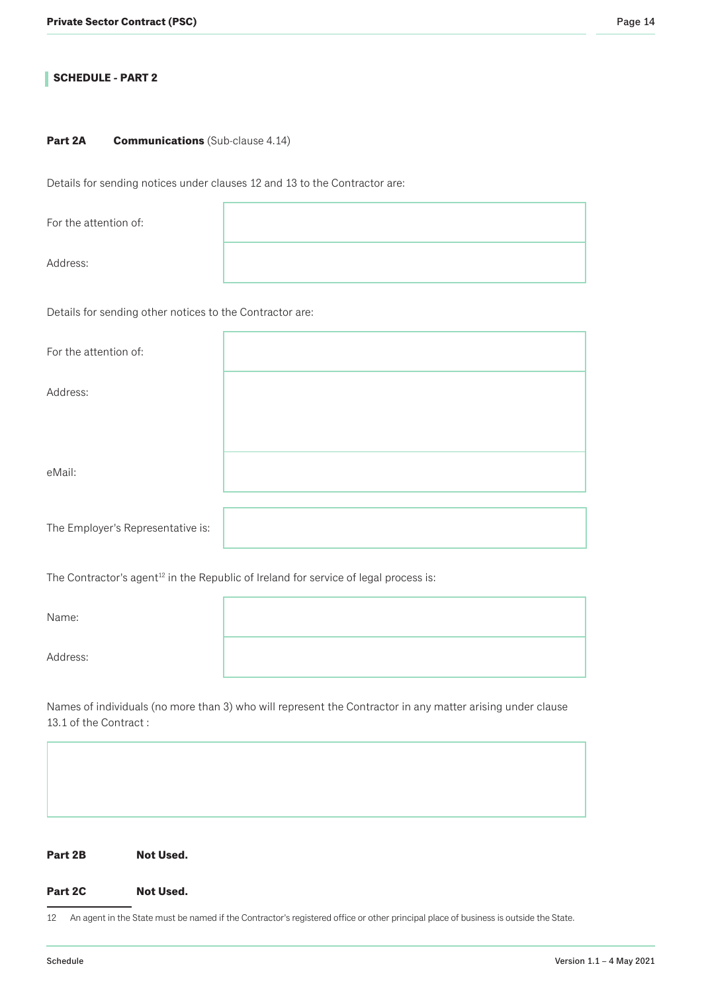# **SCHEDULE - PART 2**

#### **Part 2A Communications** (Sub-clause 4.14)

Details for sending notices under clauses 12 and 13 to the Contractor are:

For the attention of: Address:

Details for sending other notices to the Contractor are:

The Contractor's agent<sup>12</sup> in the Republic of Ireland for service of legal process is:

| Name:    |  |
|----------|--|
| Address: |  |

Names of individuals (no more than 3) who will represent the Contractor in any matter arising under clause 13.1 of the Contract :

| Part 2B |  | <b>Not Used.</b> |
|---------|--|------------------|
|         |  |                  |

#### Part 2C Not Used.

12 An agent in the State must be named if the Contractor's registered office or other principal place of business is outside the State.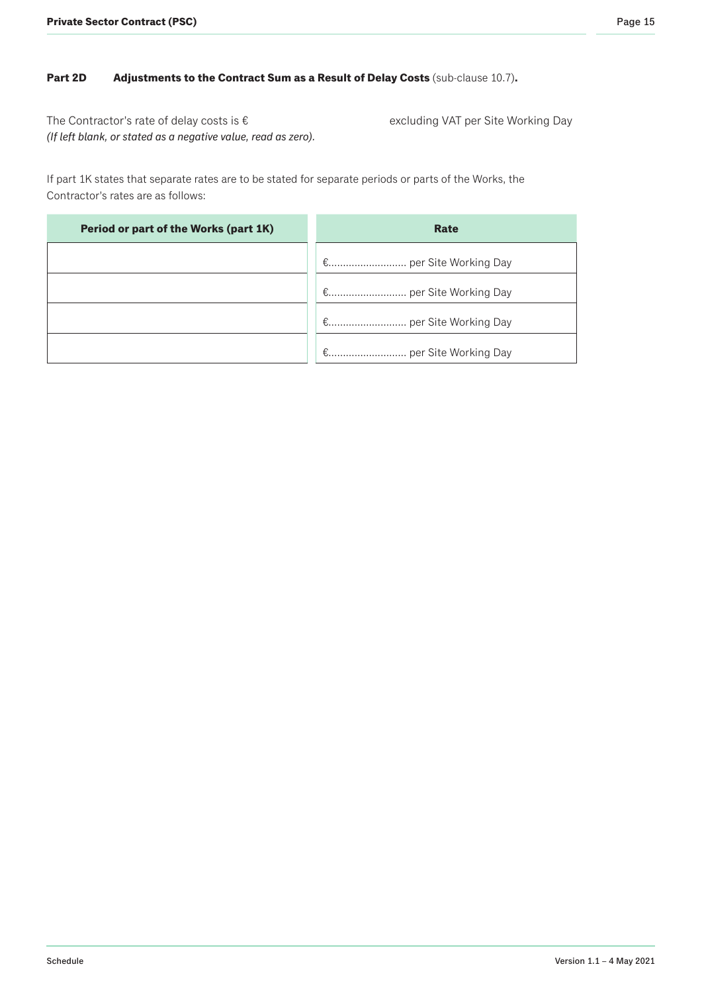# **Part 2D Adjustments to the Contract Sum as a Result of Delay Costs (sub-clause 10.7).**

The Contractor's rate of delay costs is € excluding VAT per Site Working Day *(If left blank, or stated as a negative value, read as zero).*

If part 1K states that separate rates are to be stated for separate periods or parts of the Works, the Contractor's rates are as follows:

| Period or part of the Works (part 1K) | Rate |
|---------------------------------------|------|
|                                       |      |
|                                       |      |
|                                       |      |
|                                       |      |